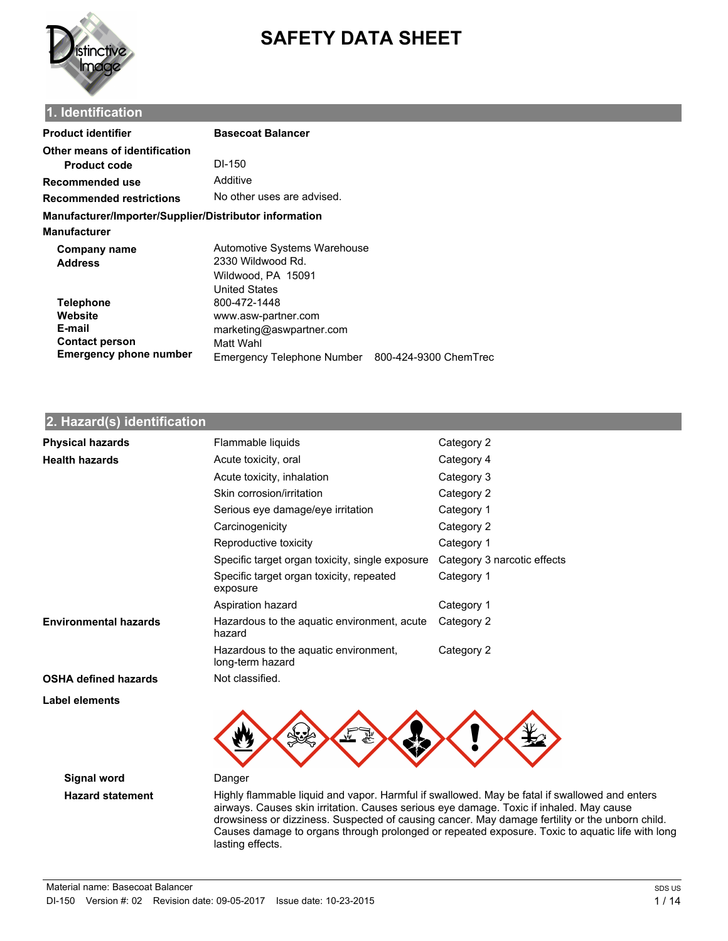

# **SAFETY DATA SHEET**

# **1. Identification**

| <b>Product identifier</b>                              | <b>Basecoat Balancer</b>                         |  |  |
|--------------------------------------------------------|--------------------------------------------------|--|--|
| Other means of identification                          |                                                  |  |  |
| <b>Product code</b>                                    | DI-150                                           |  |  |
| Recommended use                                        | Additive                                         |  |  |
| <b>Recommended restrictions</b>                        | No other uses are advised.                       |  |  |
| Manufacturer/Importer/Supplier/Distributor information |                                                  |  |  |
| Manufacturer                                           |                                                  |  |  |
| <b>Company name</b>                                    | Automotive Systems Warehouse                     |  |  |
| <b>Address</b>                                         | 2330 Wildwood Rd.                                |  |  |
|                                                        | Wildwood, PA 15091                               |  |  |
|                                                        | <b>United States</b>                             |  |  |
| <b>Telephone</b>                                       | 800-472-1448                                     |  |  |
| Website                                                | www.asw-partner.com                              |  |  |
| E-mail                                                 | marketing@aswpartner.com                         |  |  |
| <b>Contact person</b>                                  | Matt Wahl                                        |  |  |
| <b>Emergency phone number</b>                          | Emergency Telephone Number 800-424-9300 ChemTrec |  |  |

# **2. Hazard(s) identification**

| <b>Physical hazards</b>      | Flammable liquids                                         | Category 2                  |
|------------------------------|-----------------------------------------------------------|-----------------------------|
| <b>Health hazards</b>        | Acute toxicity, oral                                      | Category 4                  |
|                              | Acute toxicity, inhalation                                | Category 3                  |
|                              | Skin corrosion/irritation                                 | Category 2                  |
|                              | Serious eye damage/eye irritation                         | Category 1                  |
|                              | Carcinogenicity                                           | Category 2                  |
|                              | Reproductive toxicity                                     | Category 1                  |
|                              | Specific target organ toxicity, single exposure           | Category 3 narcotic effects |
|                              | Specific target organ toxicity, repeated<br>exposure      | Category 1                  |
|                              | Aspiration hazard                                         | Category 1                  |
| <b>Environmental hazards</b> | Hazardous to the aquatic environment, acute<br>hazard     | Category 2                  |
|                              | Hazardous to the aquatic environment,<br>long-term hazard | Category 2                  |
| <b>OSHA defined hazards</b>  | Not classified.                                           |                             |
| Label elements               |                                                           |                             |



**Signal word** Danger

**Hazard statement** Highly flammable liquid and vapor. Harmful if swallowed. May be fatal if swallowed and enters airways. Causes skin irritation. Causes serious eye damage. Toxic if inhaled. May cause drowsiness or dizziness. Suspected of causing cancer. May damage fertility or the unborn child. Causes damage to organs through prolonged or repeated exposure. Toxic to aquatic life with long lasting effects.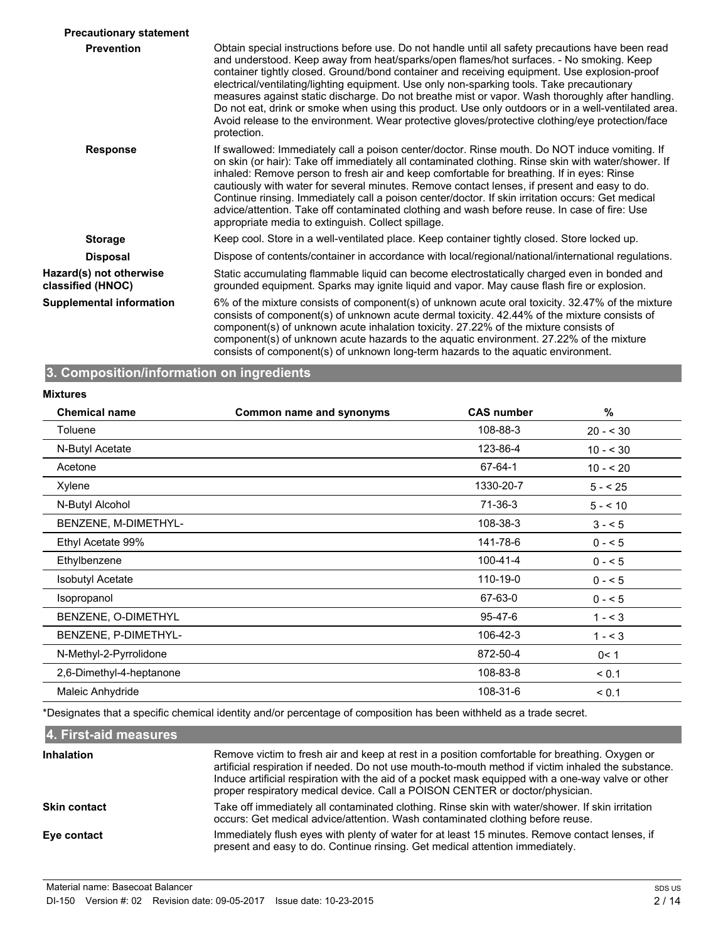| <b>Precautionary statement</b>               |                                                                                                                                                                                                                                                                                                                                                                                                                                                                                                                                                                                                                                                                                                                          |
|----------------------------------------------|--------------------------------------------------------------------------------------------------------------------------------------------------------------------------------------------------------------------------------------------------------------------------------------------------------------------------------------------------------------------------------------------------------------------------------------------------------------------------------------------------------------------------------------------------------------------------------------------------------------------------------------------------------------------------------------------------------------------------|
| <b>Prevention</b>                            | Obtain special instructions before use. Do not handle until all safety precautions have been read<br>and understood. Keep away from heat/sparks/open flames/hot surfaces. - No smoking. Keep<br>container tightly closed. Ground/bond container and receiving equipment. Use explosion-proof<br>electrical/ventilating/lighting equipment. Use only non-sparking tools. Take precautionary<br>measures against static discharge. Do not breathe mist or vapor. Wash thoroughly after handling.<br>Do not eat, drink or smoke when using this product. Use only outdoors or in a well-ventilated area.<br>Avoid release to the environment. Wear protective gloves/protective clothing/eye protection/face<br>protection. |
| <b>Response</b>                              | If swallowed: Immediately call a poison center/doctor. Rinse mouth. Do NOT induce vomiting. If<br>on skin (or hair): Take off immediately all contaminated clothing. Rinse skin with water/shower. If<br>inhaled: Remove person to fresh air and keep comfortable for breathing. If in eyes: Rinse<br>cautiously with water for several minutes. Remove contact lenses, if present and easy to do.<br>Continue rinsing. Immediately call a poison center/doctor. If skin irritation occurs: Get medical<br>advice/attention. Take off contaminated clothing and wash before reuse. In case of fire: Use<br>appropriate media to extinguish. Collect spillage.                                                            |
| <b>Storage</b>                               | Keep cool. Store in a well-ventilated place. Keep container tightly closed. Store locked up.                                                                                                                                                                                                                                                                                                                                                                                                                                                                                                                                                                                                                             |
| <b>Disposal</b>                              | Dispose of contents/container in accordance with local/regional/national/international regulations.                                                                                                                                                                                                                                                                                                                                                                                                                                                                                                                                                                                                                      |
| Hazard(s) not otherwise<br>classified (HNOC) | Static accumulating flammable liquid can become electrostatically charged even in bonded and<br>grounded equipment. Sparks may ignite liquid and vapor. May cause flash fire or explosion.                                                                                                                                                                                                                                                                                                                                                                                                                                                                                                                               |
| <b>Supplemental information</b>              | 6% of the mixture consists of component(s) of unknown acute oral toxicity. 32.47% of the mixture<br>consists of component(s) of unknown acute dermal toxicity. 42.44% of the mixture consists of<br>component(s) of unknown acute inhalation toxicity. 27.22% of the mixture consists of<br>component(s) of unknown acute hazards to the aquatic environment. 27.22% of the mixture<br>consists of component(s) of unknown long-term hazards to the aquatic environment.                                                                                                                                                                                                                                                 |

## **3. Composition/information on ingredients**

#### **Mixtures**

| 108-88-3<br>Toluene<br>$20 - 30$<br>N-Butyl Acetate<br>123-86-4<br>$10 - 530$<br>67-64-1<br>Acetone<br>$10 - 520$<br>1330-20-7<br>Xylene<br>$5 - 25$<br>71-36-3<br>N-Butyl Alcohol<br>$5 - 10$<br>BENZENE, M-DIMETHYL-<br>108-38-3<br>$3 - 5$<br>Ethyl Acetate 99%<br>141-78-6<br>$0 - 5$<br>$100 - 41 - 4$ |  |
|-------------------------------------------------------------------------------------------------------------------------------------------------------------------------------------------------------------------------------------------------------------------------------------------------------------|--|
|                                                                                                                                                                                                                                                                                                             |  |
|                                                                                                                                                                                                                                                                                                             |  |
|                                                                                                                                                                                                                                                                                                             |  |
|                                                                                                                                                                                                                                                                                                             |  |
|                                                                                                                                                                                                                                                                                                             |  |
|                                                                                                                                                                                                                                                                                                             |  |
|                                                                                                                                                                                                                                                                                                             |  |
| Ethylbenzene<br>$0 - 5$                                                                                                                                                                                                                                                                                     |  |
| 110-19-0<br><b>Isobutyl Acetate</b><br>$0 - 5$                                                                                                                                                                                                                                                              |  |
| 67-63-0<br>Isopropanol<br>$0 - 5$                                                                                                                                                                                                                                                                           |  |
| BENZENE, O-DIMETHYL<br>95-47-6<br>$1 - 3$                                                                                                                                                                                                                                                                   |  |
| BENZENE, P-DIMETHYL-<br>106-42-3<br>$1 - 3$                                                                                                                                                                                                                                                                 |  |
| N-Methyl-2-Pyrrolidone<br>872-50-4<br>0< 1                                                                                                                                                                                                                                                                  |  |
| 2,6-Dimethyl-4-heptanone<br>108-83-8<br>< 0.1                                                                                                                                                                                                                                                               |  |
| Maleic Anhydride<br>108-31-6<br>< 0.1                                                                                                                                                                                                                                                                       |  |

\*Designates that a specific chemical identity and/or percentage of composition has been withheld as a trade secret.

**4. First-aid measures** Remove victim to fresh air and keep at rest in a position comfortable for breathing. Oxygen or artificial respiration if needed. Do not use mouth-to-mouth method if victim inhaled the substance. Induce artificial respiration with the aid of a pocket mask equipped with a one-way valve or other proper respiratory medical device. Call a POISON CENTER or doctor/physician. **Inhalation** Take off immediately all contaminated clothing. Rinse skin with water/shower. If skin irritation occurs: Get medical advice/attention. Wash contaminated clothing before reuse. **Skin contact** Immediately flush eyes with plenty of water for at least 15 minutes. Remove contact lenses, if present and easy to do. Continue rinsing. Get medical attention immediately. **Eye contact**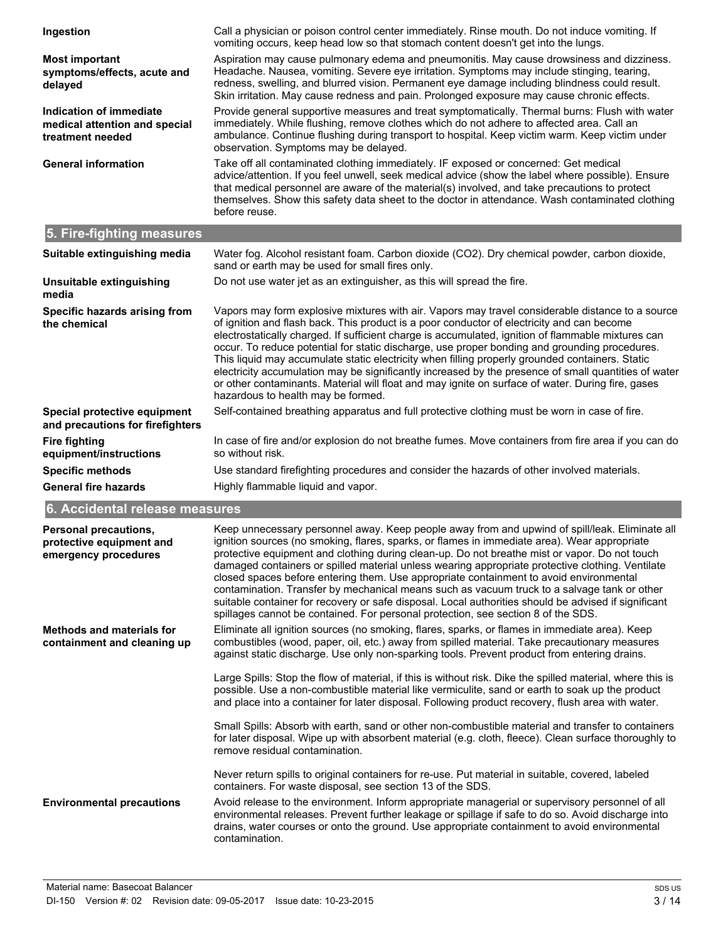| Ingestion                                                                           | Call a physician or poison control center immediately. Rinse mouth. Do not induce vomiting. If<br>vomiting occurs, keep head low so that stomach content doesn't get into the lungs.                                                                                                                                                                                                                                                                                                                                                                                                                                                                                                                                                                                                      |
|-------------------------------------------------------------------------------------|-------------------------------------------------------------------------------------------------------------------------------------------------------------------------------------------------------------------------------------------------------------------------------------------------------------------------------------------------------------------------------------------------------------------------------------------------------------------------------------------------------------------------------------------------------------------------------------------------------------------------------------------------------------------------------------------------------------------------------------------------------------------------------------------|
| <b>Most important</b><br>symptoms/effects, acute and<br>delayed                     | Aspiration may cause pulmonary edema and pneumonitis. May cause drowsiness and dizziness.<br>Headache. Nausea, vomiting. Severe eye irritation. Symptoms may include stinging, tearing,<br>redness, swelling, and blurred vision. Permanent eye damage including blindness could result.<br>Skin irritation. May cause redness and pain. Prolonged exposure may cause chronic effects.                                                                                                                                                                                                                                                                                                                                                                                                    |
| <b>Indication of immediate</b><br>medical attention and special<br>treatment needed | Provide general supportive measures and treat symptomatically. Thermal burns: Flush with water<br>immediately. While flushing, remove clothes which do not adhere to affected area. Call an<br>ambulance. Continue flushing during transport to hospital. Keep victim warm. Keep victim under<br>observation. Symptoms may be delayed.                                                                                                                                                                                                                                                                                                                                                                                                                                                    |
| <b>General information</b>                                                          | Take off all contaminated clothing immediately. IF exposed or concerned: Get medical<br>advice/attention. If you feel unwell, seek medical advice (show the label where possible). Ensure<br>that medical personnel are aware of the material(s) involved, and take precautions to protect<br>themselves. Show this safety data sheet to the doctor in attendance. Wash contaminated clothing<br>before reuse.                                                                                                                                                                                                                                                                                                                                                                            |
| 5. Fire-fighting measures                                                           |                                                                                                                                                                                                                                                                                                                                                                                                                                                                                                                                                                                                                                                                                                                                                                                           |
| Suitable extinguishing media                                                        | Water fog. Alcohol resistant foam. Carbon dioxide (CO2). Dry chemical powder, carbon dioxide,<br>sand or earth may be used for small fires only.                                                                                                                                                                                                                                                                                                                                                                                                                                                                                                                                                                                                                                          |
| Unsuitable extinguishing<br>media                                                   | Do not use water jet as an extinguisher, as this will spread the fire.                                                                                                                                                                                                                                                                                                                                                                                                                                                                                                                                                                                                                                                                                                                    |
| Specific hazards arising from<br>the chemical                                       | Vapors may form explosive mixtures with air. Vapors may travel considerable distance to a source<br>of ignition and flash back. This product is a poor conductor of electricity and can become<br>electrostatically charged. If sufficient charge is accumulated, ignition of flammable mixtures can<br>occur. To reduce potential for static discharge, use proper bonding and grounding procedures.<br>This liquid may accumulate static electricity when filling properly grounded containers. Static<br>electricity accumulation may be significantly increased by the presence of small quantities of water<br>or other contaminants. Material will float and may ignite on surface of water. During fire, gases<br>hazardous to health may be formed.                               |
| Special protective equipment<br>and precautions for firefighters                    | Self-contained breathing apparatus and full protective clothing must be worn in case of fire.                                                                                                                                                                                                                                                                                                                                                                                                                                                                                                                                                                                                                                                                                             |
| <b>Fire fighting</b><br>equipment/instructions                                      | In case of fire and/or explosion do not breathe fumes. Move containers from fire area if you can do<br>so without risk.                                                                                                                                                                                                                                                                                                                                                                                                                                                                                                                                                                                                                                                                   |
| <b>Specific methods</b>                                                             | Use standard firefighting procedures and consider the hazards of other involved materials.                                                                                                                                                                                                                                                                                                                                                                                                                                                                                                                                                                                                                                                                                                |
| <b>General fire hazards</b>                                                         | Highly flammable liquid and vapor.                                                                                                                                                                                                                                                                                                                                                                                                                                                                                                                                                                                                                                                                                                                                                        |
| 6. Accidental release measures                                                      |                                                                                                                                                                                                                                                                                                                                                                                                                                                                                                                                                                                                                                                                                                                                                                                           |
| <b>Personal precautions,</b><br>protective equipment and<br>emergency procedures    | Keep unnecessary personnel away. Keep people away from and upwind of spill/leak. Eliminate all<br>ignition sources (no smoking, flares, sparks, or flames in immediate area). Wear appropriate<br>protective equipment and clothing during clean-up. Do not breathe mist or vapor. Do not touch<br>damaged containers or spilled material unless wearing appropriate protective clothing. Ventilate<br>closed spaces before entering them. Use appropriate containment to avoid environmental<br>contamination. Transfer by mechanical means such as vacuum truck to a salvage tank or other<br>suitable container for recovery or safe disposal. Local authorities should be advised if significant<br>spillages cannot be contained. For personal protection, see section 8 of the SDS. |
| <b>Methods and materials for</b><br>containment and cleaning up                     | Eliminate all ignition sources (no smoking, flares, sparks, or flames in immediate area). Keep<br>combustibles (wood, paper, oil, etc.) away from spilled material. Take precautionary measures<br>against static discharge. Use only non-sparking tools. Prevent product from entering drains.                                                                                                                                                                                                                                                                                                                                                                                                                                                                                           |
|                                                                                     | Large Spills: Stop the flow of material, if this is without risk. Dike the spilled material, where this is<br>possible. Use a non-combustible material like vermiculite, sand or earth to soak up the product<br>and place into a container for later disposal. Following product recovery, flush area with water.                                                                                                                                                                                                                                                                                                                                                                                                                                                                        |
|                                                                                     | Small Spills: Absorb with earth, sand or other non-combustible material and transfer to containers<br>for later disposal. Wipe up with absorbent material (e.g. cloth, fleece). Clean surface thoroughly to<br>remove residual contamination.                                                                                                                                                                                                                                                                                                                                                                                                                                                                                                                                             |
|                                                                                     | Never return spills to original containers for re-use. Put material in suitable, covered, labeled<br>containers. For waste disposal, see section 13 of the SDS.                                                                                                                                                                                                                                                                                                                                                                                                                                                                                                                                                                                                                           |
| <b>Environmental precautions</b>                                                    | Avoid release to the environment. Inform appropriate managerial or supervisory personnel of all<br>environmental releases. Prevent further leakage or spillage if safe to do so. Avoid discharge into<br>drains, water courses or onto the ground. Use appropriate containment to avoid environmental<br>contamination.                                                                                                                                                                                                                                                                                                                                                                                                                                                                   |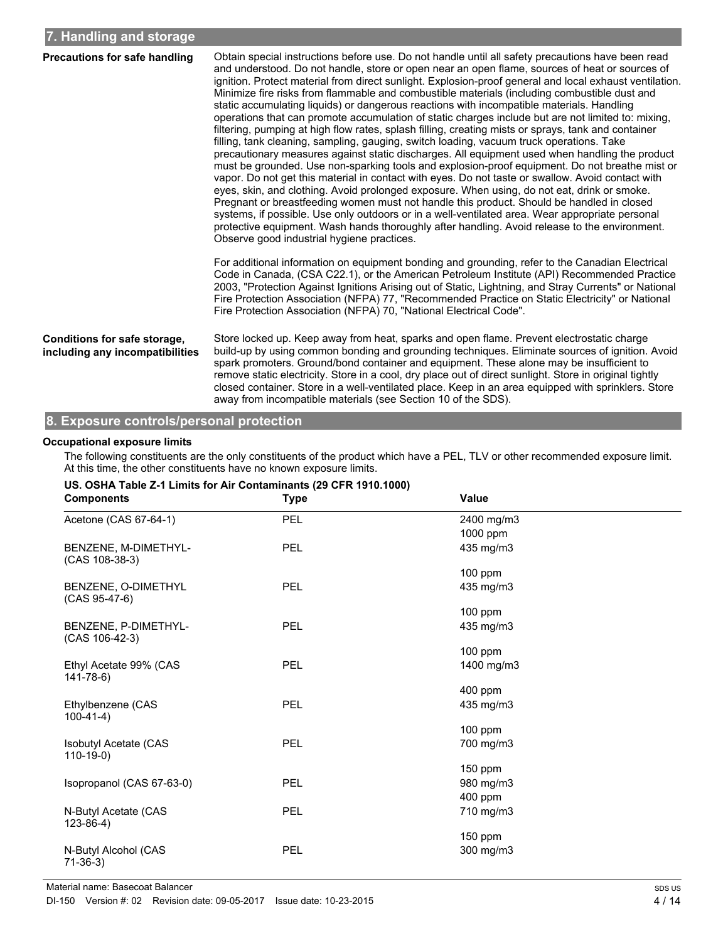| <b>Precautions for safe handling</b>                            | Obtain special instructions before use. Do not handle until all safety precautions have been read<br>and understood. Do not handle, store or open near an open flame, sources of heat or sources of<br>ignition. Protect material from direct sunlight. Explosion-proof general and local exhaust ventilation.<br>Minimize fire risks from flammable and combustible materials (including combustible dust and<br>static accumulating liquids) or dangerous reactions with incompatible materials. Handling<br>operations that can promote accumulation of static charges include but are not limited to: mixing,<br>filtering, pumping at high flow rates, splash filling, creating mists or sprays, tank and container<br>filling, tank cleaning, sampling, gauging, switch loading, vacuum truck operations. Take<br>precautionary measures against static discharges. All equipment used when handling the product<br>must be grounded. Use non-sparking tools and explosion-proof equipment. Do not breathe mist or<br>vapor. Do not get this material in contact with eyes. Do not taste or swallow. Avoid contact with<br>eyes, skin, and clothing. Avoid prolonged exposure. When using, do not eat, drink or smoke.<br>Pregnant or breastfeeding women must not handle this product. Should be handled in closed<br>systems, if possible. Use only outdoors or in a well-ventilated area. Wear appropriate personal<br>protective equipment. Wash hands thoroughly after handling. Avoid release to the environment.<br>Observe good industrial hygiene practices. |  |  |
|-----------------------------------------------------------------|-----------------------------------------------------------------------------------------------------------------------------------------------------------------------------------------------------------------------------------------------------------------------------------------------------------------------------------------------------------------------------------------------------------------------------------------------------------------------------------------------------------------------------------------------------------------------------------------------------------------------------------------------------------------------------------------------------------------------------------------------------------------------------------------------------------------------------------------------------------------------------------------------------------------------------------------------------------------------------------------------------------------------------------------------------------------------------------------------------------------------------------------------------------------------------------------------------------------------------------------------------------------------------------------------------------------------------------------------------------------------------------------------------------------------------------------------------------------------------------------------------------------------------------------------------------------------------|--|--|
|                                                                 | For additional information on equipment bonding and grounding, refer to the Canadian Electrical<br>Code in Canada, (CSA C22.1), or the American Petroleum Institute (API) Recommended Practice<br>2003, "Protection Against Ignitions Arising out of Static, Lightning, and Stray Currents" or National<br>Fire Protection Association (NFPA) 77, "Recommended Practice on Static Electricity" or National<br>Fire Protection Association (NFPA) 70, "National Electrical Code".                                                                                                                                                                                                                                                                                                                                                                                                                                                                                                                                                                                                                                                                                                                                                                                                                                                                                                                                                                                                                                                                                            |  |  |
| Conditions for safe storage,<br>including any incompatibilities | Store locked up. Keep away from heat, sparks and open flame. Prevent electrostatic charge<br>build-up by using common bonding and grounding techniques. Eliminate sources of ignition. Avoid<br>spark promoters. Ground/bond container and equipment. These alone may be insufficient to<br>remove static electricity. Store in a cool, dry place out of direct sunlight. Store in original tightly<br>closed container. Store in a well-ventilated place. Keep in an area equipped with sprinklers. Store<br>away from incompatible materials (see Section 10 of the SDS).                                                                                                                                                                                                                                                                                                                                                                                                                                                                                                                                                                                                                                                                                                                                                                                                                                                                                                                                                                                                 |  |  |

### **8. Exposure controls/personal protection**

#### **Occupational exposure limits**

The following constituents are the only constituents of the product which have a PEL, TLV or other recommended exposure limit. At this time, the other constituents have no known exposure limits.

| 00. 001 1. 1996 2-1 2011 10 10 11 001 1911 1911 1912 1910 1920<br><b>Components</b> | <b>Type</b> | Value      |
|-------------------------------------------------------------------------------------|-------------|------------|
| Acetone (CAS 67-64-1)                                                               | PEL         | 2400 mg/m3 |
|                                                                                     |             | 1000 ppm   |
| BENZENE, M-DIMETHYL-<br>$(CAS 108-38-3)$                                            | <b>PEL</b>  | 435 mg/m3  |
|                                                                                     |             | $100$ ppm  |
| BENZENE, O-DIMETHYL<br>$(CAS 95-47-6)$                                              | PEL         | 435 mg/m3  |
|                                                                                     |             | $100$ ppm  |
| BENZENE, P-DIMETHYL-<br>$(CAS 106-42-3)$                                            | PEL         | 435 mg/m3  |
|                                                                                     |             | $100$ ppm  |
| Ethyl Acetate 99% (CAS<br>141-78-6)                                                 | PEL         | 1400 mg/m3 |
|                                                                                     |             | 400 ppm    |
| Ethylbenzene (CAS<br>$100-41-4)$                                                    | PEL         | 435 mg/m3  |
|                                                                                     |             | $100$ ppm  |
| <b>Isobutyl Acetate (CAS</b><br>$110-19-0)$                                         | PEL         | 700 mg/m3  |
|                                                                                     |             | $150$ ppm  |
| Isopropanol (CAS 67-63-0)                                                           | PEL         | 980 mg/m3  |
|                                                                                     |             | 400 ppm    |
| N-Butyl Acetate (CAS<br>$123 - 86 - 4$                                              | <b>PEL</b>  | 710 mg/m3  |
|                                                                                     |             | $150$ ppm  |
| N-Butyl Alcohol (CAS<br>$71-36-3$                                                   | PEL         | 300 mg/m3  |

# **US. OSHA Table Z-1 Limits for Air Contaminants (29 CFR 1910.1000)**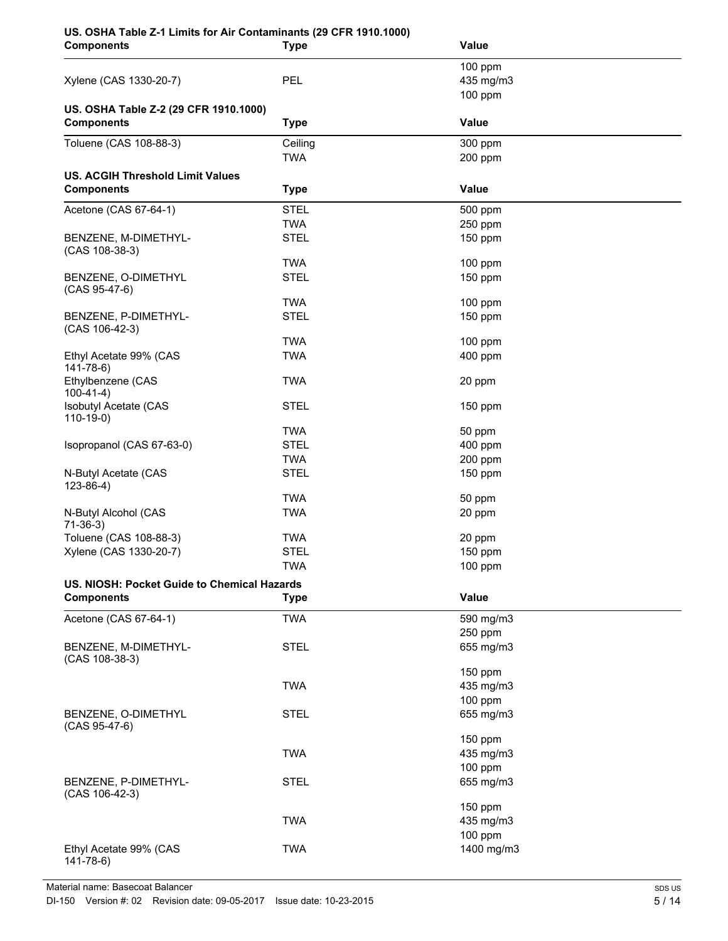# **US. OSHA Table Z-1 Limits for Air Contaminants (29 CFR 1910.1000)**

| <b>Components</b>                                            | <b>Type</b> | Value        |  |  |
|--------------------------------------------------------------|-------------|--------------|--|--|
|                                                              |             | 100 ppm      |  |  |
| Xylene (CAS 1330-20-7)                                       | PEL         | 435 mg/m3    |  |  |
|                                                              |             | 100 ppm      |  |  |
| US. OSHA Table Z-2 (29 CFR 1910.1000)                        |             |              |  |  |
| <b>Components</b>                                            | <b>Type</b> | <b>Value</b> |  |  |
| Toluene (CAS 108-88-3)                                       | Ceiling     | 300 ppm      |  |  |
|                                                              | <b>TWA</b>  | 200 ppm      |  |  |
|                                                              |             |              |  |  |
| <b>US. ACGIH Threshold Limit Values</b><br><b>Components</b> |             | Value        |  |  |
|                                                              | <b>Type</b> |              |  |  |
| Acetone (CAS 67-64-1)                                        | <b>STEL</b> | 500 ppm      |  |  |
|                                                              | <b>TWA</b>  | 250 ppm      |  |  |
| BENZENE, M-DIMETHYL-                                         | <b>STEL</b> | 150 ppm      |  |  |
| (CAS 108-38-3)                                               |             |              |  |  |
|                                                              | <b>TWA</b>  | 100 ppm      |  |  |
| BENZENE, O-DIMETHYL<br>(CAS 95-47-6)                         | <b>STEL</b> | 150 ppm      |  |  |
|                                                              | <b>TWA</b>  | $100$ ppm    |  |  |
| BENZENE, P-DIMETHYL-                                         | <b>STEL</b> | 150 ppm      |  |  |
| (CAS 106-42-3)                                               |             |              |  |  |
|                                                              | <b>TWA</b>  | $100$ ppm    |  |  |
| Ethyl Acetate 99% (CAS                                       | <b>TWA</b>  | 400 ppm      |  |  |
| 141-78-6)                                                    |             |              |  |  |
| Ethylbenzene (CAS                                            | <b>TWA</b>  | 20 ppm       |  |  |
| $100-41-4)$<br>Isobutyl Acetate (CAS                         | <b>STEL</b> | 150 ppm      |  |  |
| $110-19-0$                                                   |             |              |  |  |
|                                                              | <b>TWA</b>  | 50 ppm       |  |  |
| Isopropanol (CAS 67-63-0)                                    | <b>STEL</b> | 400 ppm      |  |  |
|                                                              | <b>TWA</b>  | 200 ppm      |  |  |
| N-Butyl Acetate (CAS                                         | <b>STEL</b> | 150 ppm      |  |  |
| $123 - 86 - 4$ )                                             |             |              |  |  |
|                                                              | <b>TWA</b>  | 50 ppm       |  |  |
| N-Butyl Alcohol (CAS<br>$71-36-3)$                           | <b>TWA</b>  | 20 ppm       |  |  |
| Toluene (CAS 108-88-3)                                       | <b>TWA</b>  | 20 ppm       |  |  |
| Xylene (CAS 1330-20-7)                                       | <b>STEL</b> | 150 ppm      |  |  |
|                                                              | <b>TWA</b>  | 100 ppm      |  |  |
| US. NIOSH: Pocket Guide to Chemical Hazards                  |             |              |  |  |
| <b>Components</b>                                            | <b>Type</b> | Value        |  |  |
| Acetone (CAS 67-64-1)                                        | <b>TWA</b>  | 590 mg/m3    |  |  |
|                                                              |             | 250 ppm      |  |  |
| BENZENE, M-DIMETHYL-                                         | <b>STEL</b> | 655 mg/m3    |  |  |
| $(CAS 108-38-3)$                                             |             |              |  |  |
|                                                              |             | 150 ppm      |  |  |
|                                                              | <b>TWA</b>  | 435 mg/m3    |  |  |
|                                                              |             | 100 ppm      |  |  |
| BENZENE, O-DIMETHYL                                          | <b>STEL</b> | 655 mg/m3    |  |  |
| $(CAS 95-47-6)$                                              |             |              |  |  |
|                                                              |             | 150 ppm      |  |  |
|                                                              | <b>TWA</b>  | 435 mg/m3    |  |  |
|                                                              |             | 100 ppm      |  |  |
| BENZENE, P-DIMETHYL-                                         | <b>STEL</b> | 655 mg/m3    |  |  |
| (CAS 106-42-3)                                               |             | 150 ppm      |  |  |
|                                                              | <b>TWA</b>  | 435 mg/m3    |  |  |
|                                                              |             | 100 ppm      |  |  |
| Ethyl Acetate 99% (CAS                                       | <b>TWA</b>  | 1400 mg/m3   |  |  |
| $141 - 78 - 6$                                               |             |              |  |  |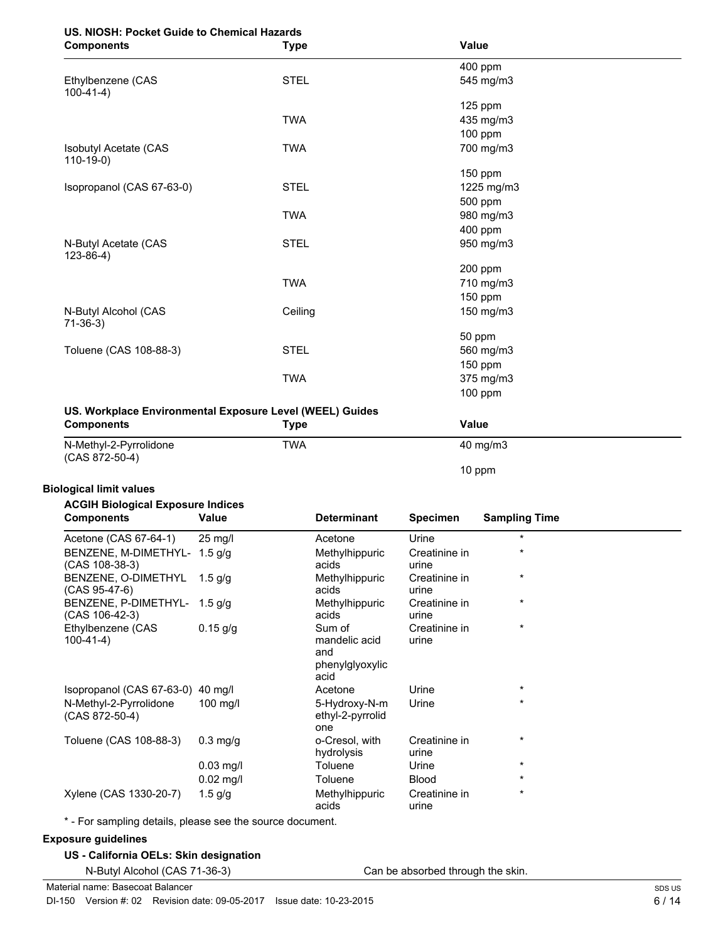# **US. NIOSH: Pocket Guide to Chemical Hazards**

| <b>Components</b>                          | <b>Type</b> | Value      |  |
|--------------------------------------------|-------------|------------|--|
|                                            |             | 400 ppm    |  |
| Ethylbenzene (CAS<br>$100-41-4)$           | <b>STEL</b> | 545 mg/m3  |  |
|                                            |             | $125$ ppm  |  |
|                                            | <b>TWA</b>  | 435 mg/m3  |  |
|                                            |             | 100 ppm    |  |
| <b>Isobutyl Acetate (CAS</b><br>$110-19-0$ | <b>TWA</b>  | 700 mg/m3  |  |
|                                            |             | 150 ppm    |  |
| Isopropanol (CAS 67-63-0)                  | <b>STEL</b> | 1225 mg/m3 |  |
|                                            |             | 500 ppm    |  |
|                                            | <b>TWA</b>  | 980 mg/m3  |  |
|                                            |             | 400 ppm    |  |
| N-Butyl Acetate (CAS<br>$123-86-4)$        | <b>STEL</b> | 950 mg/m3  |  |
|                                            |             | 200 ppm    |  |
|                                            | <b>TWA</b>  | 710 mg/m3  |  |
|                                            |             | 150 ppm    |  |
| N-Butyl Alcohol (CAS<br>$71-36-3)$         | Ceiling     | 150 mg/m3  |  |
|                                            |             | 50 ppm     |  |
| Toluene (CAS 108-88-3)                     | <b>STEL</b> | 560 mg/m3  |  |
|                                            |             | 150 ppm    |  |
|                                            | <b>TWA</b>  | 375 mg/m3  |  |
|                                            |             | 100 ppm    |  |
|                                            |             |            |  |

# **US. Workplace Environmental Exposure Level (WEEL) Guides**

| <b>Components</b>                        | Type       | Value             |  |
|------------------------------------------|------------|-------------------|--|
| N-Methyl-2-Pyrrolidone<br>(CAS 872-50-4) | <b>TWA</b> | $40 \text{ mg/m}$ |  |
|                                          |            | 10 ppm            |  |

## **Biological limit values**

# **ACGIH Biological Exposure Indices**

| <b>Components</b>                              | Value             | <b>Determinant</b>                                        | <b>Specimen</b>        | <b>Sampling Time</b> |
|------------------------------------------------|-------------------|-----------------------------------------------------------|------------------------|----------------------|
| Acetone (CAS 67-64-1)                          | $25 \text{ mg/l}$ | Acetone                                                   | Urine                  | $\star$              |
| BENZENE, M-DIMETHYL- 1.5 g/g<br>(CAS 108-38-3) |                   | Methylhippuric<br>acids                                   | Creatinine in<br>urine | $\star$              |
| BENZENE, O-DIMETHYL<br>(CAS 95-47-6)           | $1.5$ g/g         | Methylhippuric<br>acids                                   | Creatinine in<br>urine | $\star$              |
| BENZENE, P-DIMETHYL- 1.5 g/g<br>(CAS 106-42-3) |                   | Methylhippuric<br>acids                                   | Creatinine in<br>urine | $\star$              |
| Ethylbenzene (CAS<br>$100-41-4)$               | $0.15$ g/g        | Sum of<br>mandelic acid<br>and<br>phenylglyoxylic<br>acid | Creatinine in<br>urine | $\star$              |
| Isopropanol (CAS 67-63-0) 40 mg/l              |                   | Acetone                                                   | Urine                  | $\star$              |
| N-Methyl-2-Pyrrolidone<br>$(CAS 872-50-4)$     | $100$ mg/l        | 5-Hydroxy-N-m<br>ethyl-2-pyrrolid<br>one                  | Urine                  | $\star$              |
| Toluene (CAS 108-88-3)                         | $0.3$ mg/g        | o-Cresol, with<br>hydrolysis                              | Creatinine in<br>urine | $\star$              |
|                                                | $0.03$ mg/l       | Toluene                                                   | Urine                  | $\star$              |
|                                                | $0.02$ mg/l       | Toluene                                                   | <b>Blood</b>           | $\star$              |
| Xylene (CAS 1330-20-7)                         | $1.5$ g/g         | Methylhippuric<br>acids                                   | Creatinine in<br>urine | $\star$              |

\* - For sampling details, please see the source document.

# **Exposure guidelines**

| US - California OELs: Skin designation |  |  |  |
|----------------------------------------|--|--|--|
|----------------------------------------|--|--|--|

N-Butyl Alcohol (CAS 71-36-3) Can be absorbed through the skin.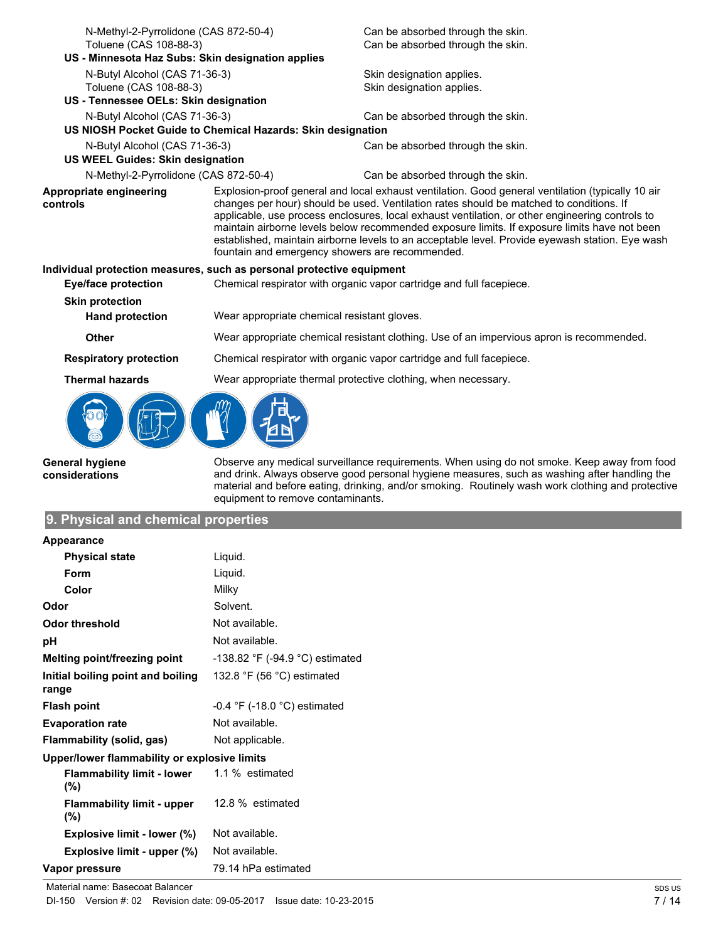| N-Methyl-2-Pyrrolidone (CAS 872-50-4)                                 |                                                                                          | Can be absorbed through the skin.                                                                                                                                                                                                                                                                                                                                                                                                                                                                  |  |
|-----------------------------------------------------------------------|------------------------------------------------------------------------------------------|----------------------------------------------------------------------------------------------------------------------------------------------------------------------------------------------------------------------------------------------------------------------------------------------------------------------------------------------------------------------------------------------------------------------------------------------------------------------------------------------------|--|
| Toluene (CAS 108-88-3)                                                |                                                                                          | Can be absorbed through the skin.                                                                                                                                                                                                                                                                                                                                                                                                                                                                  |  |
| US - Minnesota Haz Subs: Skin designation applies                     |                                                                                          |                                                                                                                                                                                                                                                                                                                                                                                                                                                                                                    |  |
| N-Butyl Alcohol (CAS 71-36-3)                                         |                                                                                          | Skin designation applies.                                                                                                                                                                                                                                                                                                                                                                                                                                                                          |  |
| Toluene (CAS 108-88-3)                                                |                                                                                          | Skin designation applies.                                                                                                                                                                                                                                                                                                                                                                                                                                                                          |  |
| US - Tennessee OELs: Skin designation                                 |                                                                                          |                                                                                                                                                                                                                                                                                                                                                                                                                                                                                                    |  |
| N-Butyl Alcohol (CAS 71-36-3)                                         |                                                                                          | Can be absorbed through the skin.                                                                                                                                                                                                                                                                                                                                                                                                                                                                  |  |
|                                                                       | US NIOSH Pocket Guide to Chemical Hazards: Skin designation                              |                                                                                                                                                                                                                                                                                                                                                                                                                                                                                                    |  |
| N-Butyl Alcohol (CAS 71-36-3)                                         |                                                                                          | Can be absorbed through the skin.                                                                                                                                                                                                                                                                                                                                                                                                                                                                  |  |
| <b>US WEEL Guides: Skin designation</b>                               |                                                                                          |                                                                                                                                                                                                                                                                                                                                                                                                                                                                                                    |  |
| N-Methyl-2-Pyrrolidone (CAS 872-50-4)                                 |                                                                                          | Can be absorbed through the skin.                                                                                                                                                                                                                                                                                                                                                                                                                                                                  |  |
| Appropriate engineering<br>controls                                   | fountain and emergency showers are recommended.                                          | Explosion-proof general and local exhaust ventilation. Good general ventilation (typically 10 air<br>changes per hour) should be used. Ventilation rates should be matched to conditions. If<br>applicable, use process enclosures, local exhaust ventilation, or other engineering controls to<br>maintain airborne levels below recommended exposure limits. If exposure limits have not been<br>established, maintain airborne levels to an acceptable level. Provide eyewash station. Eye wash |  |
| Individual protection measures, such as personal protective equipment |                                                                                          |                                                                                                                                                                                                                                                                                                                                                                                                                                                                                                    |  |
| <b>Eye/face protection</b>                                            |                                                                                          | Chemical respirator with organic vapor cartridge and full facepiece.                                                                                                                                                                                                                                                                                                                                                                                                                               |  |
| <b>Skin protection</b>                                                |                                                                                          |                                                                                                                                                                                                                                                                                                                                                                                                                                                                                                    |  |
| <b>Hand protection</b>                                                | Wear appropriate chemical resistant gloves.                                              |                                                                                                                                                                                                                                                                                                                                                                                                                                                                                                    |  |
| Other                                                                 | Wear appropriate chemical resistant clothing. Use of an impervious apron is recommended. |                                                                                                                                                                                                                                                                                                                                                                                                                                                                                                    |  |
| <b>Respiratory protection</b>                                         | Chemical respirator with organic vapor cartridge and full facepiece.                     |                                                                                                                                                                                                                                                                                                                                                                                                                                                                                                    |  |
| <b>Thermal hazards</b>                                                | Wear appropriate thermal protective clothing, when necessary.                            |                                                                                                                                                                                                                                                                                                                                                                                                                                                                                                    |  |
|                                                                       |                                                                                          |                                                                                                                                                                                                                                                                                                                                                                                                                                                                                                    |  |

**General hygiene considerations**

Observe any medical surveillance requirements. When using do not smoke. Keep away from food and drink. Always observe good personal hygiene measures, such as washing after handling the material and before eating, drinking, and/or smoking. Routinely wash work clothing and protective equipment to remove contaminants.

# **9. Physical and chemical properties**

| Appearance                                   |                                              |
|----------------------------------------------|----------------------------------------------|
| <b>Physical state</b>                        | Liquid.                                      |
| Form                                         | Liquid.                                      |
| Color                                        | Milky                                        |
| Odor                                         | Solvent.                                     |
| Odor threshold                               | Not available.                               |
| рH                                           | Not available.                               |
| Melting point/freezing point                 | -138.82 °F (-94.9 °C) estimated              |
| Initial boiling point and boiling<br>range   | 132.8 $\degree$ F (56 $\degree$ C) estimated |
| <b>Flash point</b>                           | $-0.4$ °F ( $-18.0$ °C) estimated            |
| <b>Evaporation rate</b>                      | Not available.                               |
| Flammability (solid, gas)                    | Not applicable.                              |
| Upper/lower flammability or explosive limits |                                              |
| Flammability limit - lower<br>(%)            | 1.1 % estimated                              |
| <b>Flammability limit - upper</b><br>(%)     | 12.8 % estimated                             |
| Explosive limit - lower (%)                  | Not available.                               |
| Explosive limit - upper (%)                  | Not available.                               |
| Vapor pressure                               | 79.14 hPa estimated                          |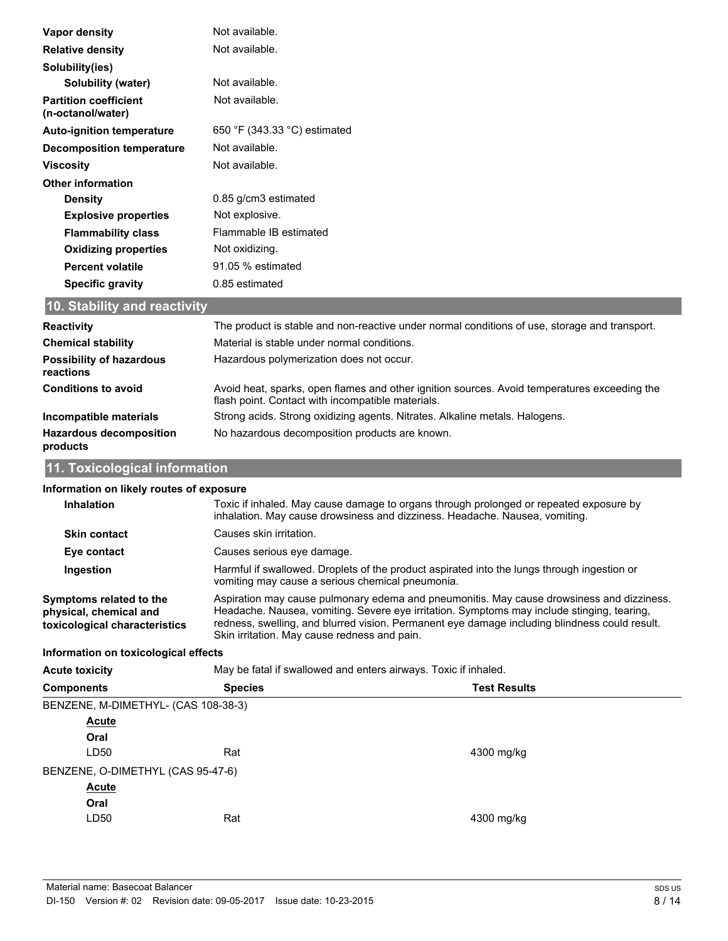| Vapor density                                     | Not available.                                                                               |
|---------------------------------------------------|----------------------------------------------------------------------------------------------|
| <b>Relative density</b>                           | Not available.                                                                               |
| Solubility(ies)                                   |                                                                                              |
| Solubility (water)                                | Not available.                                                                               |
| <b>Partition coefficient</b><br>(n-octanol/water) | Not available.                                                                               |
| <b>Auto-ignition temperature</b>                  | 650 °F (343.33 °C) estimated                                                                 |
| <b>Decomposition temperature</b>                  | Not available.                                                                               |
| <b>Viscosity</b>                                  | Not available.                                                                               |
| <b>Other information</b>                          |                                                                                              |
| <b>Density</b>                                    | 0.85 g/cm3 estimated                                                                         |
| <b>Explosive properties</b>                       | Not explosive.                                                                               |
| <b>Flammability class</b>                         | Flammable IB estimated                                                                       |
| <b>Oxidizing properties</b>                       | Not oxidizing.                                                                               |
| <b>Percent volatile</b>                           | 91.05 % estimated                                                                            |
| <b>Specific gravity</b>                           | 0.85 estimated                                                                               |
| 10. Stability and reactivity                      |                                                                                              |
| Dooothuitu                                        | The product is stable and nep reactive under permal conditions of use, sterage and transport |

| <b>Reactivity</b>                            | The product is stable and non-reactive under normal conditions of use, storage and transport.                                                     |
|----------------------------------------------|---------------------------------------------------------------------------------------------------------------------------------------------------|
| <b>Chemical stability</b>                    | Material is stable under normal conditions.                                                                                                       |
| <b>Possibility of hazardous</b><br>reactions | Hazardous polymerization does not occur.                                                                                                          |
| <b>Conditions to avoid</b>                   | Avoid heat, sparks, open flames and other ignition sources. Avoid temperatures exceeding the<br>flash point. Contact with incompatible materials. |
| Incompatible materials                       | Strong acids. Strong oxidizing agents. Nitrates. Alkaline metals. Halogens.                                                                       |
| <b>Hazardous decomposition</b><br>products   | No hazardous decomposition products are known.                                                                                                    |

# **11. Toxicological information**

| Information on likely routes of exposure                                           |                                                                                                                                                                                                                                                                                                                                          |            |  |  |
|------------------------------------------------------------------------------------|------------------------------------------------------------------------------------------------------------------------------------------------------------------------------------------------------------------------------------------------------------------------------------------------------------------------------------------|------------|--|--|
| <b>Inhalation</b>                                                                  | Toxic if inhaled. May cause damage to organs through prolonged or repeated exposure by<br>inhalation. May cause drowsiness and dizziness. Headache. Nausea, vomiting.                                                                                                                                                                    |            |  |  |
| <b>Skin contact</b>                                                                | Causes skin irritation.                                                                                                                                                                                                                                                                                                                  |            |  |  |
| Eye contact                                                                        | Causes serious eye damage.                                                                                                                                                                                                                                                                                                               |            |  |  |
| Ingestion                                                                          | Harmful if swallowed. Droplets of the product aspirated into the lungs through ingestion or<br>vomiting may cause a serious chemical pneumonia.                                                                                                                                                                                          |            |  |  |
| Symptoms related to the<br>physical, chemical and<br>toxicological characteristics | Aspiration may cause pulmonary edema and pneumonitis. May cause drowsiness and dizziness.<br>Headache. Nausea, vomiting. Severe eye irritation. Symptoms may include stinging, tearing,<br>redness, swelling, and blurred vision. Permanent eye damage including blindness could result.<br>Skin irritation. May cause redness and pain. |            |  |  |
| Information on toxicological effects                                               |                                                                                                                                                                                                                                                                                                                                          |            |  |  |
| <b>Acute toxicity</b>                                                              | May be fatal if swallowed and enters airways. Toxic if inhaled.                                                                                                                                                                                                                                                                          |            |  |  |
| <b>Components</b>                                                                  | <b>Test Results</b><br><b>Species</b>                                                                                                                                                                                                                                                                                                    |            |  |  |
|                                                                                    | BENZENE, M-DIMETHYL- (CAS 108-38-3)                                                                                                                                                                                                                                                                                                      |            |  |  |
| Acute                                                                              |                                                                                                                                                                                                                                                                                                                                          |            |  |  |
| Oral                                                                               |                                                                                                                                                                                                                                                                                                                                          |            |  |  |
| LD50                                                                               | Rat                                                                                                                                                                                                                                                                                                                                      | 4300 mg/kg |  |  |
| BENZENE, O-DIMETHYL (CAS 95-47-6)                                                  |                                                                                                                                                                                                                                                                                                                                          |            |  |  |
| <u>Acute</u>                                                                       |                                                                                                                                                                                                                                                                                                                                          |            |  |  |
| Oral                                                                               |                                                                                                                                                                                                                                                                                                                                          |            |  |  |
| LD50                                                                               | Rat                                                                                                                                                                                                                                                                                                                                      | 4300 mg/kg |  |  |
|                                                                                    |                                                                                                                                                                                                                                                                                                                                          |            |  |  |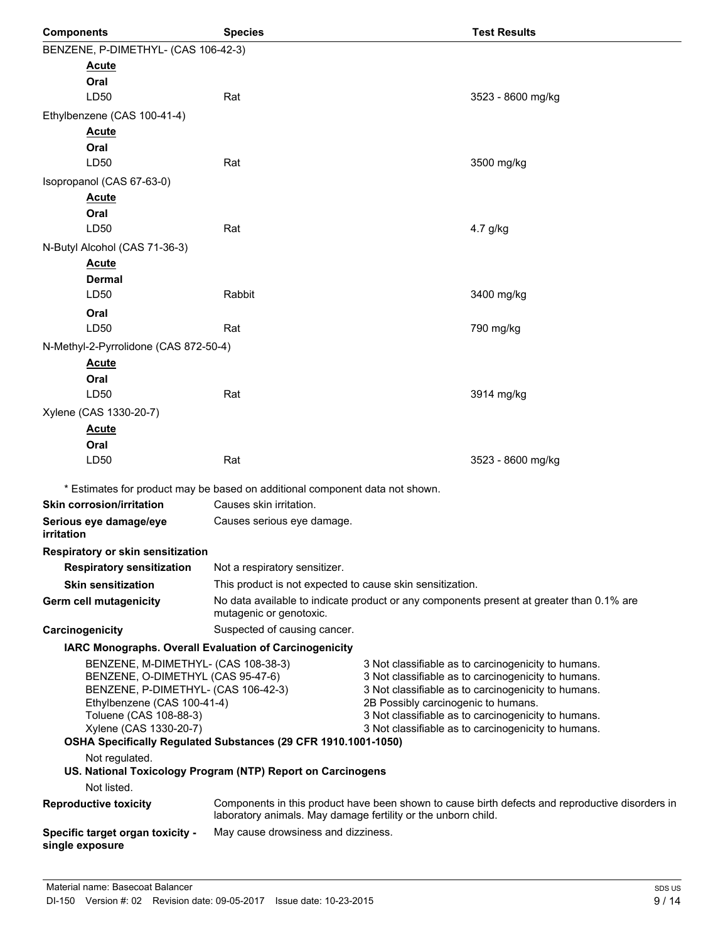| <b>Components</b>                                                                                                                                                                                                                                                    | <b>Species</b>                                                                                                                                                   |                                                                                                                                                                                                                                                                                                                        | <b>Test Results</b>                                                                      |
|----------------------------------------------------------------------------------------------------------------------------------------------------------------------------------------------------------------------------------------------------------------------|------------------------------------------------------------------------------------------------------------------------------------------------------------------|------------------------------------------------------------------------------------------------------------------------------------------------------------------------------------------------------------------------------------------------------------------------------------------------------------------------|------------------------------------------------------------------------------------------|
| BENZENE, P-DIMETHYL- (CAS 106-42-3)                                                                                                                                                                                                                                  |                                                                                                                                                                  |                                                                                                                                                                                                                                                                                                                        |                                                                                          |
| <u>Acute</u>                                                                                                                                                                                                                                                         |                                                                                                                                                                  |                                                                                                                                                                                                                                                                                                                        |                                                                                          |
| Oral                                                                                                                                                                                                                                                                 |                                                                                                                                                                  |                                                                                                                                                                                                                                                                                                                        |                                                                                          |
| LD50                                                                                                                                                                                                                                                                 | Rat                                                                                                                                                              |                                                                                                                                                                                                                                                                                                                        | 3523 - 8600 mg/kg                                                                        |
| Ethylbenzene (CAS 100-41-4)                                                                                                                                                                                                                                          |                                                                                                                                                                  |                                                                                                                                                                                                                                                                                                                        |                                                                                          |
| <b>Acute</b>                                                                                                                                                                                                                                                         |                                                                                                                                                                  |                                                                                                                                                                                                                                                                                                                        |                                                                                          |
| Oral                                                                                                                                                                                                                                                                 |                                                                                                                                                                  |                                                                                                                                                                                                                                                                                                                        |                                                                                          |
| LD50                                                                                                                                                                                                                                                                 | Rat                                                                                                                                                              |                                                                                                                                                                                                                                                                                                                        | 3500 mg/kg                                                                               |
| Isopropanol (CAS 67-63-0)                                                                                                                                                                                                                                            |                                                                                                                                                                  |                                                                                                                                                                                                                                                                                                                        |                                                                                          |
| <u>Acute</u>                                                                                                                                                                                                                                                         |                                                                                                                                                                  |                                                                                                                                                                                                                                                                                                                        |                                                                                          |
| Oral                                                                                                                                                                                                                                                                 |                                                                                                                                                                  |                                                                                                                                                                                                                                                                                                                        |                                                                                          |
| LD <sub>50</sub>                                                                                                                                                                                                                                                     | Rat                                                                                                                                                              |                                                                                                                                                                                                                                                                                                                        | 4.7 g/kg                                                                                 |
| N-Butyl Alcohol (CAS 71-36-3)                                                                                                                                                                                                                                        |                                                                                                                                                                  |                                                                                                                                                                                                                                                                                                                        |                                                                                          |
| <b>Acute</b>                                                                                                                                                                                                                                                         |                                                                                                                                                                  |                                                                                                                                                                                                                                                                                                                        |                                                                                          |
| <b>Dermal</b><br>LD <sub>50</sub>                                                                                                                                                                                                                                    | Rabbit                                                                                                                                                           |                                                                                                                                                                                                                                                                                                                        | 3400 mg/kg                                                                               |
| Oral                                                                                                                                                                                                                                                                 |                                                                                                                                                                  |                                                                                                                                                                                                                                                                                                                        |                                                                                          |
| LD50                                                                                                                                                                                                                                                                 | Rat                                                                                                                                                              |                                                                                                                                                                                                                                                                                                                        | 790 mg/kg                                                                                |
| N-Methyl-2-Pyrrolidone (CAS 872-50-4)                                                                                                                                                                                                                                |                                                                                                                                                                  |                                                                                                                                                                                                                                                                                                                        |                                                                                          |
| <u>Acute</u>                                                                                                                                                                                                                                                         |                                                                                                                                                                  |                                                                                                                                                                                                                                                                                                                        |                                                                                          |
| Oral                                                                                                                                                                                                                                                                 |                                                                                                                                                                  |                                                                                                                                                                                                                                                                                                                        |                                                                                          |
| LD <sub>50</sub>                                                                                                                                                                                                                                                     | Rat                                                                                                                                                              |                                                                                                                                                                                                                                                                                                                        | 3914 mg/kg                                                                               |
| Xylene (CAS 1330-20-7)                                                                                                                                                                                                                                               |                                                                                                                                                                  |                                                                                                                                                                                                                                                                                                                        |                                                                                          |
| <b>Acute</b>                                                                                                                                                                                                                                                         |                                                                                                                                                                  |                                                                                                                                                                                                                                                                                                                        |                                                                                          |
| Oral                                                                                                                                                                                                                                                                 |                                                                                                                                                                  |                                                                                                                                                                                                                                                                                                                        |                                                                                          |
| LD50                                                                                                                                                                                                                                                                 | Rat                                                                                                                                                              |                                                                                                                                                                                                                                                                                                                        | 3523 - 8600 mg/kg                                                                        |
|                                                                                                                                                                                                                                                                      |                                                                                                                                                                  |                                                                                                                                                                                                                                                                                                                        |                                                                                          |
|                                                                                                                                                                                                                                                                      | * Estimates for product may be based on additional component data not shown.                                                                                     |                                                                                                                                                                                                                                                                                                                        |                                                                                          |
| <b>Skin corrosion/irritation</b>                                                                                                                                                                                                                                     | Causes skin irritation.                                                                                                                                          |                                                                                                                                                                                                                                                                                                                        |                                                                                          |
| Serious eye damage/eye<br>irritation                                                                                                                                                                                                                                 | Causes serious eye damage.                                                                                                                                       |                                                                                                                                                                                                                                                                                                                        |                                                                                          |
| <b>Respiratory or skin sensitization</b>                                                                                                                                                                                                                             |                                                                                                                                                                  |                                                                                                                                                                                                                                                                                                                        |                                                                                          |
| <b>Respiratory sensitization</b>                                                                                                                                                                                                                                     | Not a respiratory sensitizer.                                                                                                                                    |                                                                                                                                                                                                                                                                                                                        |                                                                                          |
| <b>Skin sensitization</b>                                                                                                                                                                                                                                            | This product is not expected to cause skin sensitization.                                                                                                        |                                                                                                                                                                                                                                                                                                                        |                                                                                          |
| <b>Germ cell mutagenicity</b>                                                                                                                                                                                                                                        | mutagenic or genotoxic.                                                                                                                                          |                                                                                                                                                                                                                                                                                                                        | No data available to indicate product or any components present at greater than 0.1% are |
| Carcinogenicity                                                                                                                                                                                                                                                      | Suspected of causing cancer.                                                                                                                                     |                                                                                                                                                                                                                                                                                                                        |                                                                                          |
|                                                                                                                                                                                                                                                                      | IARC Monographs. Overall Evaluation of Carcinogenicity                                                                                                           |                                                                                                                                                                                                                                                                                                                        |                                                                                          |
| BENZENE, M-DIMETHYL- (CAS 108-38-3)<br>BENZENE, O-DIMETHYL (CAS 95-47-6)<br>BENZENE, P-DIMETHYL- (CAS 106-42-3)<br>Ethylbenzene (CAS 100-41-4)<br>Toluene (CAS 108-88-3)<br>Xylene (CAS 1330-20-7)<br>OSHA Specifically Regulated Substances (29 CFR 1910.1001-1050) |                                                                                                                                                                  | 3 Not classifiable as to carcinogenicity to humans.<br>3 Not classifiable as to carcinogenicity to humans.<br>3 Not classifiable as to carcinogenicity to humans.<br>2B Possibly carcinogenic to humans.<br>3 Not classifiable as to carcinogenicity to humans.<br>3 Not classifiable as to carcinogenicity to humans. |                                                                                          |
| Not regulated.                                                                                                                                                                                                                                                       |                                                                                                                                                                  |                                                                                                                                                                                                                                                                                                                        |                                                                                          |
|                                                                                                                                                                                                                                                                      | US. National Toxicology Program (NTP) Report on Carcinogens                                                                                                      |                                                                                                                                                                                                                                                                                                                        |                                                                                          |
| Not listed.                                                                                                                                                                                                                                                          |                                                                                                                                                                  |                                                                                                                                                                                                                                                                                                                        |                                                                                          |
| <b>Reproductive toxicity</b>                                                                                                                                                                                                                                         | Components in this product have been shown to cause birth defects and reproductive disorders in<br>laboratory animals. May damage fertility or the unborn child. |                                                                                                                                                                                                                                                                                                                        |                                                                                          |
| Specific target organ toxicity -<br>single exposure                                                                                                                                                                                                                  | May cause drowsiness and dizziness.                                                                                                                              |                                                                                                                                                                                                                                                                                                                        |                                                                                          |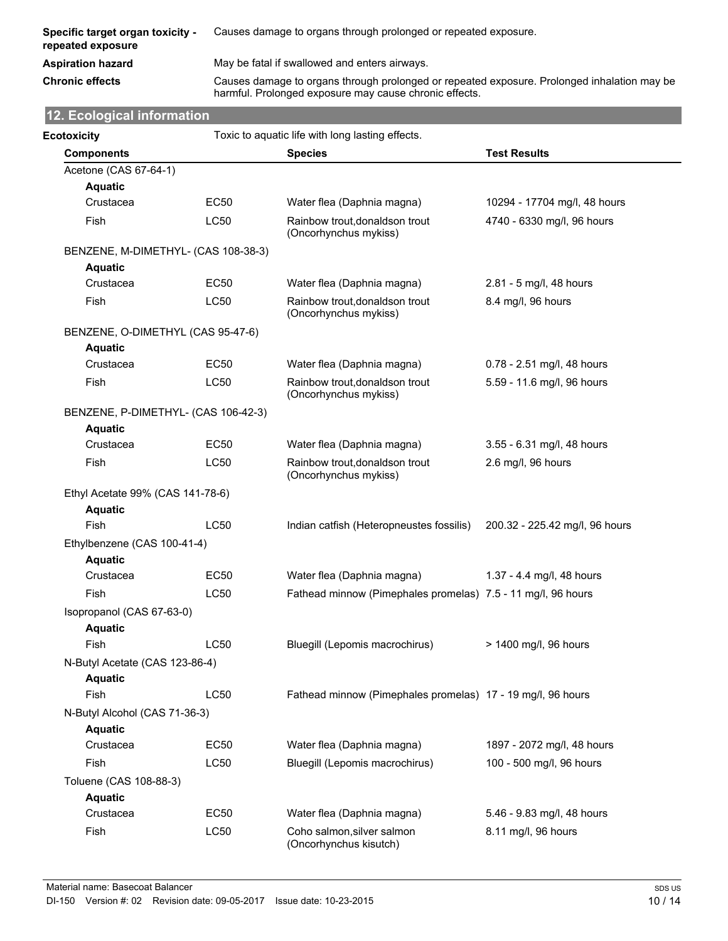| Specific target organ toxicity -<br>repeated exposure | Causes damage to organs through prolonged or repeated exposure. |
|-------------------------------------------------------|-----------------------------------------------------------------|
| <b>Aspiration hazard</b>                              | May be fatal if swallowed and enters airways.                   |

**Chronic effects** Causes damage to organs through prolonged or repeated exposure. Prolonged inhalation may be harmful. Prolonged exposure may cause chronic effects.

# **12. Ecological information**

| Ecotoxicity                                 | Toxic to aquatic life with long lasting effects. |                                                              |                                |  |
|---------------------------------------------|--------------------------------------------------|--------------------------------------------------------------|--------------------------------|--|
| <b>Components</b>                           |                                                  | <b>Species</b>                                               | <b>Test Results</b>            |  |
| Acetone (CAS 67-64-1)                       |                                                  |                                                              |                                |  |
| <b>Aquatic</b>                              |                                                  |                                                              |                                |  |
| Crustacea                                   | <b>EC50</b>                                      | Water flea (Daphnia magna)                                   | 10294 - 17704 mg/l, 48 hours   |  |
| <b>Fish</b>                                 | LC50                                             | Rainbow trout, donaldson trout<br>(Oncorhynchus mykiss)      | 4740 - 6330 mg/l, 96 hours     |  |
| BENZENE, M-DIMETHYL- (CAS 108-38-3)         |                                                  |                                                              |                                |  |
| <b>Aquatic</b>                              |                                                  |                                                              |                                |  |
| Crustacea                                   | <b>EC50</b>                                      | Water flea (Daphnia magna)                                   | 2.81 - 5 mg/l, 48 hours        |  |
| Fish                                        | LC50                                             | Rainbow trout, donaldson trout<br>(Oncorhynchus mykiss)      | 8.4 mg/l, 96 hours             |  |
| BENZENE, O-DIMETHYL (CAS 95-47-6)           |                                                  |                                                              |                                |  |
| <b>Aquatic</b>                              |                                                  |                                                              |                                |  |
| Crustacea                                   | <b>EC50</b>                                      | Water flea (Daphnia magna)                                   | 0.78 - 2.51 mg/l, 48 hours     |  |
| Fish                                        | <b>LC50</b>                                      | Rainbow trout, donaldson trout<br>(Oncorhynchus mykiss)      | 5.59 - 11.6 mg/l, 96 hours     |  |
| BENZENE, P-DIMETHYL- (CAS 106-42-3)         |                                                  |                                                              |                                |  |
| <b>Aquatic</b>                              |                                                  |                                                              |                                |  |
| Crustacea                                   | <b>EC50</b>                                      | Water flea (Daphnia magna)                                   | 3.55 - 6.31 mg/l, 48 hours     |  |
| <b>Fish</b>                                 | <b>LC50</b>                                      | Rainbow trout, donaldson trout<br>(Oncorhynchus mykiss)      | 2.6 mg/l, 96 hours             |  |
| Ethyl Acetate 99% (CAS 141-78-6)            |                                                  |                                                              |                                |  |
| <b>Aquatic</b>                              |                                                  |                                                              |                                |  |
| Fish                                        | LC50                                             | Indian catfish (Heteropneustes fossilis)                     | 200.32 - 225.42 mg/l, 96 hours |  |
| Ethylbenzene (CAS 100-41-4)                 |                                                  |                                                              |                                |  |
| <b>Aquatic</b>                              |                                                  |                                                              |                                |  |
| Crustacea                                   | <b>EC50</b>                                      | Water flea (Daphnia magna)                                   | 1.37 - 4.4 mg/l, 48 hours      |  |
| Fish                                        | <b>LC50</b>                                      | Fathead minnow (Pimephales promelas) 7.5 - 11 mg/l, 96 hours |                                |  |
| Isopropanol (CAS 67-63-0)<br><b>Aquatic</b> |                                                  |                                                              |                                |  |
| Fish                                        | LC50                                             | Bluegill (Lepomis macrochirus)                               | > 1400 mg/l, 96 hours          |  |
| N-Butyl Acetate (CAS 123-86-4)              |                                                  |                                                              |                                |  |
| <b>Aquatic</b>                              |                                                  |                                                              |                                |  |
| Fish                                        | LC50                                             | Fathead minnow (Pimephales promelas) 17 - 19 mg/l, 96 hours  |                                |  |
| N-Butyl Alcohol (CAS 71-36-3)               |                                                  |                                                              |                                |  |
| <b>Aquatic</b>                              |                                                  |                                                              |                                |  |
| Crustacea                                   | <b>EC50</b>                                      | Water flea (Daphnia magna)                                   | 1897 - 2072 mg/l, 48 hours     |  |
| Fish                                        | <b>LC50</b>                                      | Bluegill (Lepomis macrochirus)                               | 100 - 500 mg/l, 96 hours       |  |
| Toluene (CAS 108-88-3)                      |                                                  |                                                              |                                |  |
| <b>Aquatic</b>                              |                                                  |                                                              |                                |  |
| Crustacea                                   | <b>EC50</b>                                      | Water flea (Daphnia magna)                                   | 5.46 - 9.83 mg/l, 48 hours     |  |
| Fish                                        | LC50                                             | Coho salmon, silver salmon                                   | 8.11 mg/l, 96 hours            |  |
|                                             |                                                  | (Oncorhynchus kisutch)                                       |                                |  |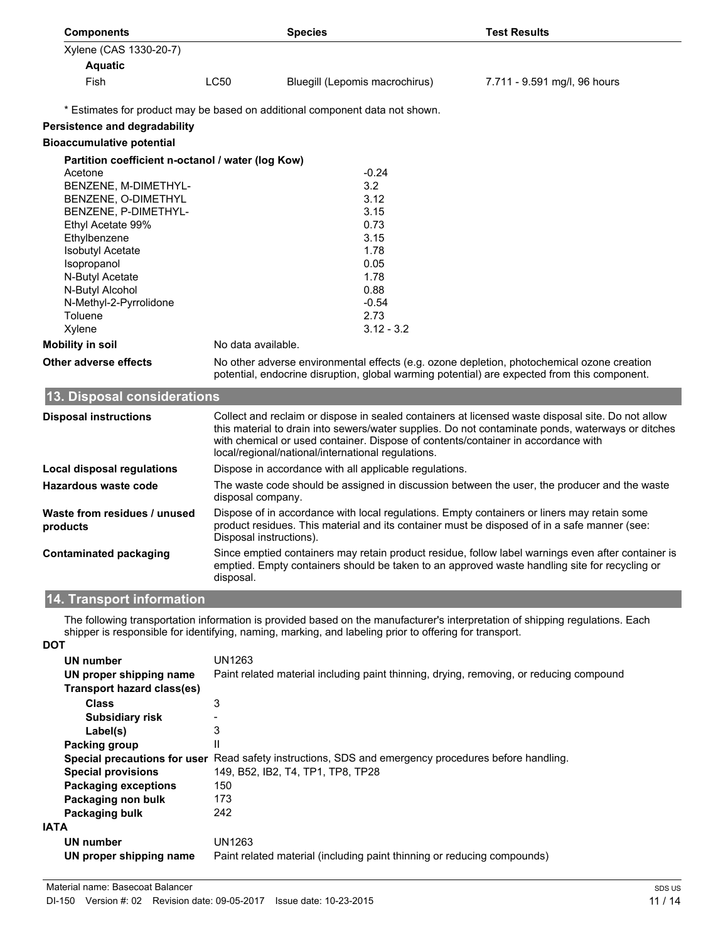| <b>Components</b>                                 |                                                                                              | <b>Species</b>                                                                                         | <b>Test Results</b>                                                                                                                                                                                    |
|---------------------------------------------------|----------------------------------------------------------------------------------------------|--------------------------------------------------------------------------------------------------------|--------------------------------------------------------------------------------------------------------------------------------------------------------------------------------------------------------|
| Xylene (CAS 1330-20-7)                            |                                                                                              |                                                                                                        |                                                                                                                                                                                                        |
| <b>Aquatic</b>                                    |                                                                                              |                                                                                                        |                                                                                                                                                                                                        |
| Fish                                              | <b>LC50</b>                                                                                  | Bluegill (Lepomis macrochirus)                                                                         | 7.711 - 9.591 mg/l, 96 hours                                                                                                                                                                           |
|                                                   |                                                                                              |                                                                                                        |                                                                                                                                                                                                        |
|                                                   |                                                                                              | * Estimates for product may be based on additional component data not shown.                           |                                                                                                                                                                                                        |
| <b>Persistence and degradability</b>              |                                                                                              |                                                                                                        |                                                                                                                                                                                                        |
| <b>Bioaccumulative potential</b>                  |                                                                                              |                                                                                                        |                                                                                                                                                                                                        |
| Partition coefficient n-octanol / water (log Kow) |                                                                                              |                                                                                                        |                                                                                                                                                                                                        |
| Acetone                                           |                                                                                              | $-0.24$                                                                                                |                                                                                                                                                                                                        |
| BENZENE, M-DIMETHYL-                              |                                                                                              | 3.2                                                                                                    |                                                                                                                                                                                                        |
| BENZENE, O-DIMETHYL                               |                                                                                              | 3.12                                                                                                   |                                                                                                                                                                                                        |
| BENZENE, P-DIMETHYL-                              |                                                                                              | 3.15                                                                                                   |                                                                                                                                                                                                        |
| Ethyl Acetate 99%                                 |                                                                                              | 0.73                                                                                                   |                                                                                                                                                                                                        |
| Ethylbenzene                                      |                                                                                              | 3.15                                                                                                   |                                                                                                                                                                                                        |
| <b>Isobutyl Acetate</b><br>Isopropanol            |                                                                                              | 1.78<br>0.05                                                                                           |                                                                                                                                                                                                        |
| N-Butyl Acetate                                   |                                                                                              | 1.78                                                                                                   |                                                                                                                                                                                                        |
| N-Butyl Alcohol                                   |                                                                                              | 0.88                                                                                                   |                                                                                                                                                                                                        |
| N-Methyl-2-Pyrrolidone                            |                                                                                              | $-0.54$                                                                                                |                                                                                                                                                                                                        |
| Toluene                                           |                                                                                              | 2.73                                                                                                   |                                                                                                                                                                                                        |
| Xylene                                            |                                                                                              | $3.12 - 3.2$                                                                                           |                                                                                                                                                                                                        |
| <b>Mobility in soil</b>                           | No data available.                                                                           |                                                                                                        |                                                                                                                                                                                                        |
| Other adverse effects                             |                                                                                              |                                                                                                        | No other adverse environmental effects (e.g. ozone depletion, photochemical ozone creation                                                                                                             |
|                                                   |                                                                                              |                                                                                                        | potential, endocrine disruption, global warming potential) are expected from this component.                                                                                                           |
| 13. Disposal considerations                       |                                                                                              |                                                                                                        |                                                                                                                                                                                                        |
|                                                   |                                                                                              |                                                                                                        |                                                                                                                                                                                                        |
| <b>Disposal instructions</b>                      |                                                                                              |                                                                                                        | Collect and reclaim or dispose in sealed containers at licensed waste disposal site. Do not allow<br>this material to drain into sewers/water supplies. Do not contaminate ponds, waterways or ditches |
|                                                   |                                                                                              | with chemical or used container. Dispose of contents/container in accordance with                      |                                                                                                                                                                                                        |
|                                                   |                                                                                              | local/regional/national/international regulations.                                                     |                                                                                                                                                                                                        |
| <b>Local disposal regulations</b>                 |                                                                                              | Dispose in accordance with all applicable regulations.                                                 |                                                                                                                                                                                                        |
| Hazardous waste code                              | The waste code should be assigned in discussion between the user, the producer and the waste |                                                                                                        |                                                                                                                                                                                                        |
|                                                   | disposal company.                                                                            |                                                                                                        |                                                                                                                                                                                                        |
| Waste from residues / unused                      |                                                                                              |                                                                                                        | Dispose of in accordance with local regulations. Empty containers or liners may retain some                                                                                                            |
| products                                          |                                                                                              |                                                                                                        | product residues. This material and its container must be disposed of in a safe manner (see:                                                                                                           |
|                                                   | Disposal instructions).                                                                      |                                                                                                        |                                                                                                                                                                                                        |
| Contaminated packaging                            |                                                                                              |                                                                                                        | Since emptied containers may retain product residue, follow label warnings even after container is                                                                                                     |
|                                                   | disposal.                                                                                    |                                                                                                        | emptied. Empty containers should be taken to an approved waste handling site for recycling or                                                                                                          |
|                                                   |                                                                                              |                                                                                                        |                                                                                                                                                                                                        |
| 14. Transport information                         |                                                                                              |                                                                                                        |                                                                                                                                                                                                        |
|                                                   |                                                                                              |                                                                                                        | The following transportation information is provided based on the manufacturer's interpretation of shipping regulations. Each                                                                          |
|                                                   |                                                                                              | shipper is responsible for identifying, naming, marking, and labeling prior to offering for transport. |                                                                                                                                                                                                        |
| DOT                                               |                                                                                              |                                                                                                        |                                                                                                                                                                                                        |
| <b>UN number</b>                                  | <b>UN1263</b>                                                                                |                                                                                                        |                                                                                                                                                                                                        |
| UN proper shipping name                           |                                                                                              | Paint related material including paint thinning, drying, removing, or reducing compound                |                                                                                                                                                                                                        |
| <b>Transport hazard class(es)</b>                 |                                                                                              |                                                                                                        |                                                                                                                                                                                                        |
| <b>Class</b>                                      | 3                                                                                            |                                                                                                        |                                                                                                                                                                                                        |
| <b>Subsidiary risk</b>                            |                                                                                              |                                                                                                        |                                                                                                                                                                                                        |
| Label(s)                                          | 3                                                                                            |                                                                                                        |                                                                                                                                                                                                        |
| Packing group                                     | $\mathbf{H}$                                                                                 |                                                                                                        |                                                                                                                                                                                                        |
|                                                   |                                                                                              | Special precautions for user Read safety instructions, SDS and emergency procedures before handling.   |                                                                                                                                                                                                        |
| <b>Special provisions</b>                         |                                                                                              | 149, B52, IB2, T4, TP1, TP8, TP28                                                                      |                                                                                                                                                                                                        |
| <b>Packaging exceptions</b>                       | 150                                                                                          |                                                                                                        |                                                                                                                                                                                                        |
| Packaging non bulk<br>Packaging bulk              | 173<br>242                                                                                   |                                                                                                        |                                                                                                                                                                                                        |
|                                                   |                                                                                              |                                                                                                        |                                                                                                                                                                                                        |

**Packaging bulk** 

**IATA**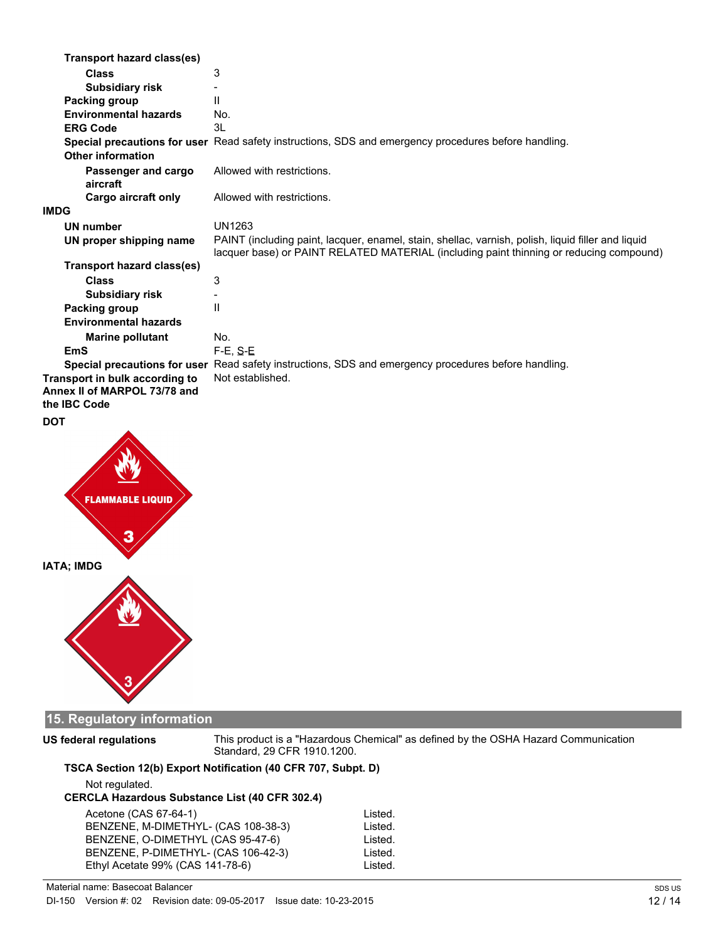| Transport hazard class(es)        |                                                                                                                                                                                               |
|-----------------------------------|-----------------------------------------------------------------------------------------------------------------------------------------------------------------------------------------------|
| <b>Class</b>                      | 3                                                                                                                                                                                             |
| <b>Subsidiary risk</b>            |                                                                                                                                                                                               |
| Packing group                     | $\mathbf{I}$                                                                                                                                                                                  |
| <b>Environmental hazards</b>      | No.                                                                                                                                                                                           |
| <b>ERG Code</b>                   | 3L                                                                                                                                                                                            |
|                                   | Special precautions for user Read safety instructions, SDS and emergency procedures before handling.                                                                                          |
| <b>Other information</b>          |                                                                                                                                                                                               |
| Passenger and cargo<br>aircraft   | Allowed with restrictions.                                                                                                                                                                    |
| <b>Cargo aircraft only</b>        | Allowed with restrictions.                                                                                                                                                                    |
| <b>IMDG</b>                       |                                                                                                                                                                                               |
| <b>UN number</b>                  | UN1263                                                                                                                                                                                        |
| UN proper shipping name           | PAINT (including paint, lacquer, enamel, stain, shellac, varnish, polish, liquid filler and liquid<br>lacquer base) or PAINT RELATED MATERIAL (including paint thinning or reducing compound) |
| <b>Transport hazard class(es)</b> |                                                                                                                                                                                               |
| <b>Class</b>                      | 3                                                                                                                                                                                             |
| <b>Subsidiary risk</b>            |                                                                                                                                                                                               |
| Packing group                     | $\mathbf{H}$                                                                                                                                                                                  |
| <b>Environmental hazards</b>      |                                                                                                                                                                                               |
| <b>Marine pollutant</b>           | No.                                                                                                                                                                                           |
| EmS                               | $F-E. S-E$                                                                                                                                                                                    |
|                                   | Special precautions for user Read safety instructions, SDS and emergency procedures before handling.                                                                                          |
| Transport in bulk according to    | Not established.                                                                                                                                                                              |
| Annex II of MARPOL 73/78 and      |                                                                                                                                                                                               |
| the IBC Code                      |                                                                                                                                                                                               |
| DOT                               |                                                                                                                                                                                               |
|                                   |                                                                                                                                                                                               |



# **15. Regulatory information**

**US federal regulations**

This product is a "Hazardous Chemical" as defined by the OSHA Hazard Communication Standard, 29 CFR 1910.1200.

## **TSCA Section 12(b) Export Notification (40 CFR 707, Subpt. D)**

Not regulated. **CERCLA Hazardous Substance List (40 CFR 302.4)** Acetone (CAS 67-64-1) Listed.<br>BENZENE, M-DIMETHYL- (CAS 108-38-3) Listed. BENZENE, M-DIMETHYL- (CAS 108-38-3) BENZENE, O-DIMETHYL (CAS 95-47-6) Listed.

BENZENE, P-DIMETHYL- (CAS 106-42-3) Listed. Ethyl Acetate 99% (CAS 141-78-6) Listed.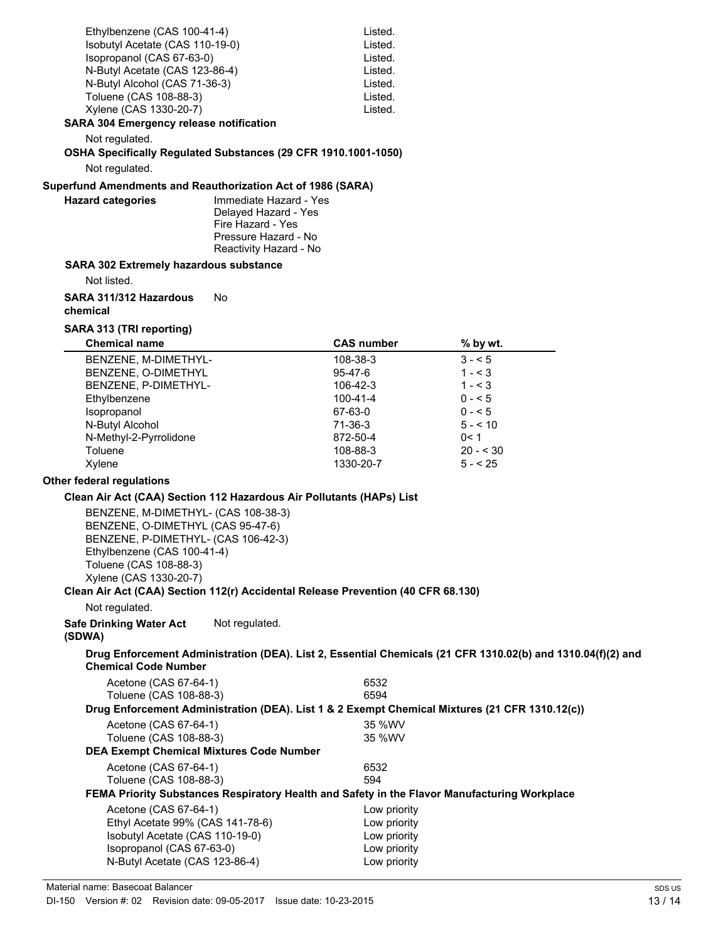| Ethylbenzene (CAS 100-41-4)                                                                                                                                                                                                                                                            |                                                                                                                       | Listed.           |                                                                                                             |  |
|----------------------------------------------------------------------------------------------------------------------------------------------------------------------------------------------------------------------------------------------------------------------------------------|-----------------------------------------------------------------------------------------------------------------------|-------------------|-------------------------------------------------------------------------------------------------------------|--|
| Isobutyl Acetate (CAS 110-19-0)                                                                                                                                                                                                                                                        |                                                                                                                       | Listed.           |                                                                                                             |  |
| Isopropanol (CAS 67-63-0)                                                                                                                                                                                                                                                              |                                                                                                                       | Listed.           |                                                                                                             |  |
| N-Butyl Acetate (CAS 123-86-4)                                                                                                                                                                                                                                                         |                                                                                                                       | Listed.           |                                                                                                             |  |
| N-Butyl Alcohol (CAS 71-36-3)                                                                                                                                                                                                                                                          |                                                                                                                       | Listed.           |                                                                                                             |  |
| Toluene (CAS 108-88-3)                                                                                                                                                                                                                                                                 |                                                                                                                       | Listed.           |                                                                                                             |  |
| Xylene (CAS 1330-20-7)                                                                                                                                                                                                                                                                 |                                                                                                                       | Listed.           |                                                                                                             |  |
| <b>SARA 304 Emergency release notification</b>                                                                                                                                                                                                                                         |                                                                                                                       |                   |                                                                                                             |  |
| Not regulated.<br>OSHA Specifically Regulated Substances (29 CFR 1910.1001-1050)                                                                                                                                                                                                       |                                                                                                                       |                   |                                                                                                             |  |
| Not regulated.                                                                                                                                                                                                                                                                         |                                                                                                                       |                   |                                                                                                             |  |
| Superfund Amendments and Reauthorization Act of 1986 (SARA)                                                                                                                                                                                                                            |                                                                                                                       |                   |                                                                                                             |  |
| <b>Hazard categories</b>                                                                                                                                                                                                                                                               | Immediate Hazard - Yes<br>Delayed Hazard - Yes<br>Fire Hazard - Yes<br>Pressure Hazard - No<br>Reactivity Hazard - No |                   |                                                                                                             |  |
| <b>SARA 302 Extremely hazardous substance</b>                                                                                                                                                                                                                                          |                                                                                                                       |                   |                                                                                                             |  |
| Not listed.                                                                                                                                                                                                                                                                            |                                                                                                                       |                   |                                                                                                             |  |
| SARA 311/312 Hazardous<br>chemical                                                                                                                                                                                                                                                     | No                                                                                                                    |                   |                                                                                                             |  |
| SARA 313 (TRI reporting)                                                                                                                                                                                                                                                               |                                                                                                                       |                   |                                                                                                             |  |
| <b>Chemical name</b>                                                                                                                                                                                                                                                                   |                                                                                                                       | <b>CAS number</b> | % by wt.                                                                                                    |  |
| BENZENE, M-DIMETHYL-                                                                                                                                                                                                                                                                   |                                                                                                                       | 108-38-3          | $3 - 5$                                                                                                     |  |
| BENZENE, O-DIMETHYL                                                                                                                                                                                                                                                                    |                                                                                                                       | 95-47-6           | $1 - 3$                                                                                                     |  |
| BENZENE, P-DIMETHYL-                                                                                                                                                                                                                                                                   |                                                                                                                       | 106-42-3          | $1 - 3$                                                                                                     |  |
| Ethylbenzene                                                                                                                                                                                                                                                                           |                                                                                                                       | 100-41-4          | $0 - 5$                                                                                                     |  |
| Isopropanol                                                                                                                                                                                                                                                                            |                                                                                                                       | 67-63-0           | $0 - 5$                                                                                                     |  |
| N-Butyl Alcohol                                                                                                                                                                                                                                                                        |                                                                                                                       | 71-36-3           | $5 - 10$                                                                                                    |  |
| N-Methyl-2-Pyrrolidone                                                                                                                                                                                                                                                                 |                                                                                                                       | 872-50-4          | 0< 1                                                                                                        |  |
| Toluene                                                                                                                                                                                                                                                                                |                                                                                                                       | 108-88-3          | $20 - 30$                                                                                                   |  |
| Xylene                                                                                                                                                                                                                                                                                 |                                                                                                                       | 1330-20-7         | $5 - 25$                                                                                                    |  |
| <b>Other federal regulations</b>                                                                                                                                                                                                                                                       |                                                                                                                       |                   |                                                                                                             |  |
| Clean Air Act (CAA) Section 112 Hazardous Air Pollutants (HAPs) List                                                                                                                                                                                                                   |                                                                                                                       |                   |                                                                                                             |  |
| BENZENE, M-DIMETHYL- (CAS 108-38-3)<br>BENZENE, O-DIMETHYL (CAS 95-47-6)<br>BENZENE, P-DIMETHYL- (CAS 106-42-3)<br>Ethylbenzene (CAS 100-41-4)<br>Toluene (CAS 108-88-3)<br>Xylene (CAS 1330-20-7)<br>Clean Air Act (CAA) Section 112(r) Accidental Release Prevention (40 CFR 68.130) |                                                                                                                       |                   |                                                                                                             |  |
| Not regulated.                                                                                                                                                                                                                                                                         |                                                                                                                       |                   |                                                                                                             |  |
| <b>Safe Drinking Water Act</b><br>(SDWA)                                                                                                                                                                                                                                               | Not regulated.                                                                                                        |                   |                                                                                                             |  |
| <b>Chemical Code Number</b>                                                                                                                                                                                                                                                            |                                                                                                                       |                   | Drug Enforcement Administration (DEA). List 2, Essential Chemicals (21 CFR 1310.02(b) and 1310.04(f)(2) and |  |
| Acetone (CAS 67-64-1)                                                                                                                                                                                                                                                                  |                                                                                                                       | 6532              |                                                                                                             |  |
| Toluene (CAS 108-88-3)                                                                                                                                                                                                                                                                 |                                                                                                                       | 6594              |                                                                                                             |  |
|                                                                                                                                                                                                                                                                                        |                                                                                                                       |                   | Drug Enforcement Administration (DEA). List 1 & 2 Exempt Chemical Mixtures (21 CFR 1310.12(c))              |  |
| Acetone (CAS 67-64-1)                                                                                                                                                                                                                                                                  |                                                                                                                       | 35 %WV            |                                                                                                             |  |
| Toluene (CAS 108-88-3)                                                                                                                                                                                                                                                                 |                                                                                                                       | 35 %WV            |                                                                                                             |  |
| <b>DEA Exempt Chemical Mixtures Code Number</b>                                                                                                                                                                                                                                        |                                                                                                                       |                   |                                                                                                             |  |
| Acetone (CAS 67-64-1)<br>Toluene (CAS 108-88-3)                                                                                                                                                                                                                                        |                                                                                                                       | 6532<br>594       |                                                                                                             |  |
|                                                                                                                                                                                                                                                                                        |                                                                                                                       |                   | FEMA Priority Substances Respiratory Health and Safety in the Flavor Manufacturing Workplace                |  |
| Acetone (CAS 67-64-1)                                                                                                                                                                                                                                                                  |                                                                                                                       | Low priority      |                                                                                                             |  |
| Ethyl Acetate 99% (CAS 141-78-6)                                                                                                                                                                                                                                                       |                                                                                                                       | Low priority      |                                                                                                             |  |
| Isobutyl Acetate (CAS 110-19-0)                                                                                                                                                                                                                                                        |                                                                                                                       | Low priority      |                                                                                                             |  |
| Isopropanol (CAS 67-63-0)                                                                                                                                                                                                                                                              |                                                                                                                       | Low priority      |                                                                                                             |  |
| N-Butyl Acetate (CAS 123-86-4)                                                                                                                                                                                                                                                         |                                                                                                                       | Low priority      |                                                                                                             |  |